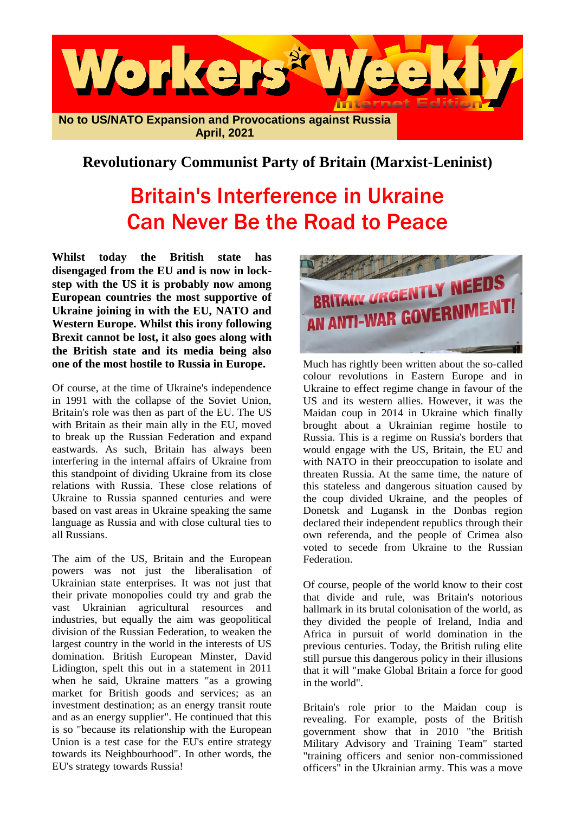

## **Revolutionary Communist Party of Britain (Marxist-Leninist)**

## Britain's Interference in Ukraine Can Never Be the Road to Peace

**Whilst today the British state has disengaged from the EU and is now in lockstep with the US it is probably now among European countries the most supportive of Ukraine joining in with the EU, NATO and Western Europe. Whilst this irony following Brexit cannot be lost, it also goes along with the British state and its media being also one of the most hostile to Russia in Europe.**

Of course, at the time of Ukraine's independence in 1991 with the collapse of the Soviet Union, Britain's role was then as part of the EU. The US with Britain as their main ally in the EU, moved to break up the Russian Federation and expand eastwards. As such, Britain has always been interfering in the internal affairs of Ukraine from this standpoint of dividing Ukraine from its close relations with Russia. These close relations of Ukraine to Russia spanned centuries and were based on vast areas in Ukraine speaking the same language as Russia and with close cultural ties to all Russians.

The aim of the US, Britain and the European powers was not just the liberalisation of Ukrainian state enterprises. It was not just that their private monopolies could try and grab the vast Ukrainian agricultural resources and industries, but equally the aim was geopolitical division of the Russian Federation, to weaken the largest country in the world in the interests of US domination. British European Minster, David Lidington, spelt this out in a statement in 2011 when he said, Ukraine matters "as a growing market for British goods and services; as an investment destination; as an energy transit route and as an energy supplier". He continued that this is so "because its relationship with the European Union is a test case for the EU's entire strategy towards its Neighbourhood". In other words, the EU's strategy towards Russia!



Much has rightly been written about the so-called colour revolutions in Eastern Europe and in Ukraine to effect regime change in favour of the US and its western allies. However, it was the Maidan coup in 2014 in Ukraine which finally brought about a Ukrainian regime hostile to Russia. This is a regime on Russia's borders that would engage with the US, Britain, the EU and with NATO in their preoccupation to isolate and threaten Russia. At the same time, the nature of this stateless and dangerous situation caused by the coup divided Ukraine, and the peoples of Donetsk and Lugansk in the Donbas region declared their independent republics through their own referenda, and the people of Crimea also voted to secede from Ukraine to the Russian **Federation** 

Of course, people of the world know to their cost that divide and rule, was Britain's notorious hallmark in its brutal colonisation of the world, as they divided the people of Ireland, India and Africa in pursuit of world domination in the previous centuries. Today, the British ruling elite still pursue this dangerous policy in their illusions that it will "make Global Britain a force for good in the world".

Britain's role prior to the Maidan coup is revealing. For example, posts of the British government show that in 2010 "the British Military Advisory and Training Team" started "training officers and senior non-commissioned officers" in the Ukrainian army. This was a move